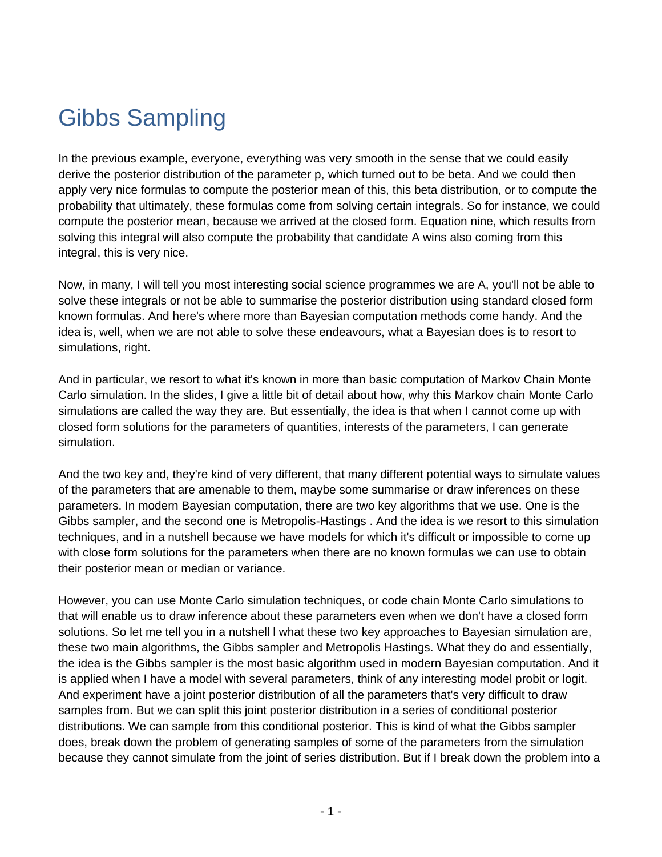## Gibbs Sampling

In the previous example, everyone, everything was very smooth in the sense that we could easily derive the posterior distribution of the parameter p, which turned out to be beta. And we could then apply very nice formulas to compute the posterior mean of this, this beta distribution, or to compute the probability that ultimately, these formulas come from solving certain integrals. So for instance, we could compute the posterior mean, because we arrived at the closed form. Equation nine, which results from solving this integral will also compute the probability that candidate A wins also coming from this integral, this is very nice.

Now, in many, I will tell you most interesting social science programmes we are A, you'll not be able to solve these integrals or not be able to summarise the posterior distribution using standard closed form known formulas. And here's where more than Bayesian computation methods come handy. And the idea is, well, when we are not able to solve these endeavours, what a Bayesian does is to resort to simulations, right.

And in particular, we resort to what it's known in more than basic computation of Markov Chain Monte Carlo simulation. In the slides, I give a little bit of detail about how, why this Markov chain Monte Carlo simulations are called the way they are. But essentially, the idea is that when I cannot come up with closed form solutions for the parameters of quantities, interests of the parameters, I can generate simulation.

And the two key and, they're kind of very different, that many different potential ways to simulate values of the parameters that are amenable to them, maybe some summarise or draw inferences on these parameters. In modern Bayesian computation, there are two key algorithms that we use. One is the Gibbs sampler, and the second one is Metropolis-Hastings . And the idea is we resort to this simulation techniques, and in a nutshell because we have models for which it's difficult or impossible to come up with close form solutions for the parameters when there are no known formulas we can use to obtain their posterior mean or median or variance.

However, you can use Monte Carlo simulation techniques, or code chain Monte Carlo simulations to that will enable us to draw inference about these parameters even when we don't have a closed form solutions. So let me tell you in a nutshell l what these two key approaches to Bayesian simulation are, these two main algorithms, the Gibbs sampler and Metropolis Hastings. What they do and essentially, the idea is the Gibbs sampler is the most basic algorithm used in modern Bayesian computation. And it is applied when I have a model with several parameters, think of any interesting model probit or logit. And experiment have a joint posterior distribution of all the parameters that's very difficult to draw samples from. But we can split this joint posterior distribution in a series of conditional posterior distributions. We can sample from this conditional posterior. This is kind of what the Gibbs sampler does, break down the problem of generating samples of some of the parameters from the simulation because they cannot simulate from the joint of series distribution. But if I break down the problem into a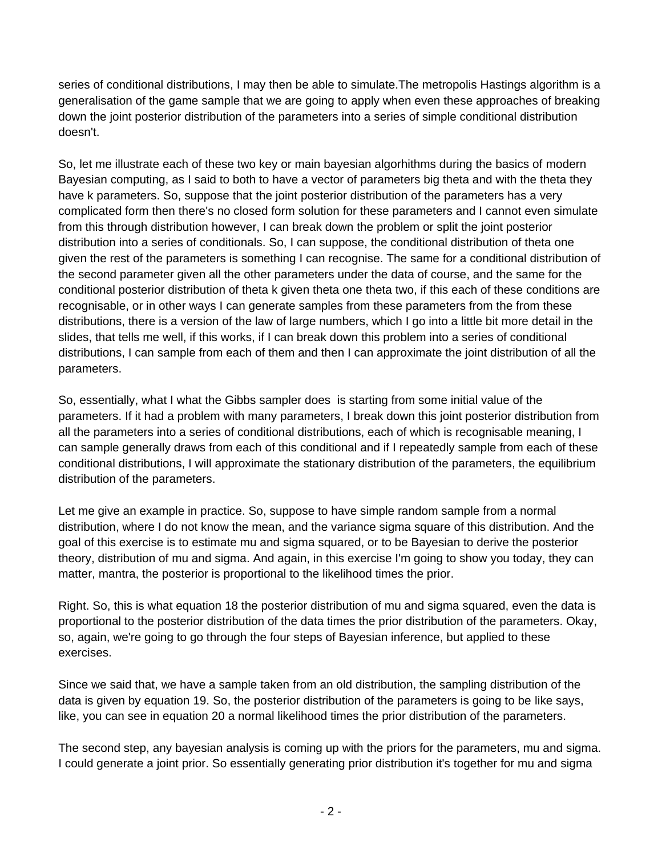series of conditional distributions, I may then be able to simulate.The metropolis Hastings algorithm is a generalisation of the game sample that we are going to apply when even these approaches of breaking down the joint posterior distribution of the parameters into a series of simple conditional distribution doesn't.

So, let me illustrate each of these two key or main bayesian algorhithms during the basics of modern Bayesian computing, as I said to both to have a vector of parameters big theta and with the theta they have k parameters. So, suppose that the joint posterior distribution of the parameters has a very complicated form then there's no closed form solution for these parameters and I cannot even simulate from this through distribution however, I can break down the problem or split the joint posterior distribution into a series of conditionals. So, I can suppose, the conditional distribution of theta one given the rest of the parameters is something I can recognise. The same for a conditional distribution of the second parameter given all the other parameters under the data of course, and the same for the conditional posterior distribution of theta k given theta one theta two, if this each of these conditions are recognisable, or in other ways I can generate samples from these parameters from the from these distributions, there is a version of the law of large numbers, which I go into a little bit more detail in the slides, that tells me well, if this works, if I can break down this problem into a series of conditional distributions, I can sample from each of them and then I can approximate the joint distribution of all the parameters.

So, essentially, what I what the Gibbs sampler does is starting from some initial value of the parameters. If it had a problem with many parameters, I break down this joint posterior distribution from all the parameters into a series of conditional distributions, each of which is recognisable meaning, I can sample generally draws from each of this conditional and if I repeatedly sample from each of these conditional distributions, I will approximate the stationary distribution of the parameters, the equilibrium distribution of the parameters.

Let me give an example in practice. So, suppose to have simple random sample from a normal distribution, where I do not know the mean, and the variance sigma square of this distribution. And the goal of this exercise is to estimate mu and sigma squared, or to be Bayesian to derive the posterior theory, distribution of mu and sigma. And again, in this exercise I'm going to show you today, they can matter, mantra, the posterior is proportional to the likelihood times the prior.

Right. So, this is what equation 18 the posterior distribution of mu and sigma squared, even the data is proportional to the posterior distribution of the data times the prior distribution of the parameters. Okay, so, again, we're going to go through the four steps of Bayesian inference, but applied to these exercises.

Since we said that, we have a sample taken from an old distribution, the sampling distribution of the data is given by equation 19. So, the posterior distribution of the parameters is going to be like says, like, you can see in equation 20 a normal likelihood times the prior distribution of the parameters.

The second step, any bayesian analysis is coming up with the priors for the parameters, mu and sigma. I could generate a joint prior. So essentially generating prior distribution it's together for mu and sigma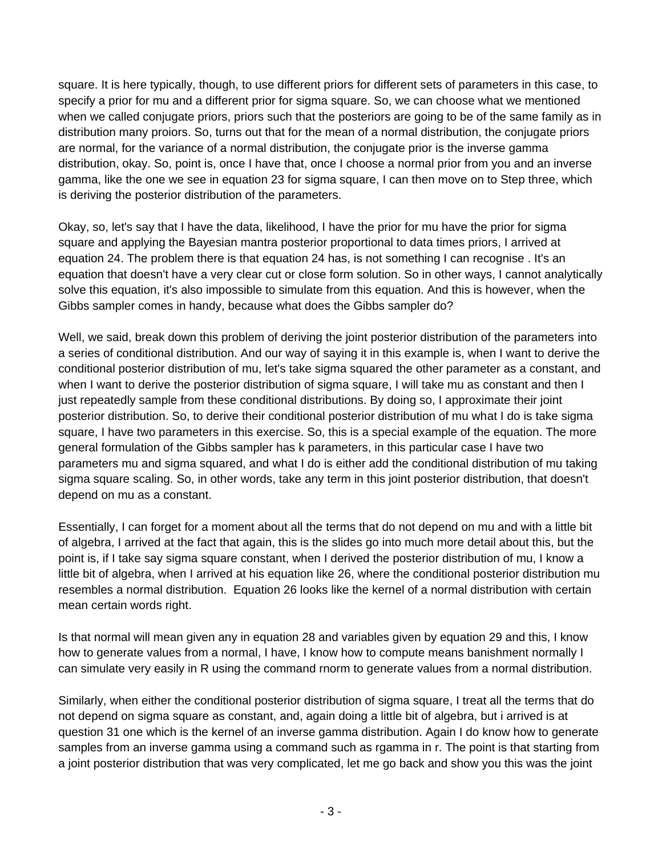square. It is here typically, though, to use different priors for different sets of parameters in this case, to specify a prior for mu and a different prior for sigma square. So, we can choose what we mentioned when we called conjugate priors, priors such that the posteriors are going to be of the same family as in distribution many proiors. So, turns out that for the mean of a normal distribution, the conjugate priors are normal, for the variance of a normal distribution, the conjugate prior is the inverse gamma distribution, okay. So, point is, once I have that, once I choose a normal prior from you and an inverse gamma, like the one we see in equation 23 for sigma square, I can then move on to Step three, which is deriving the posterior distribution of the parameters.

Okay, so, let's say that I have the data, likelihood, I have the prior for mu have the prior for sigma square and applying the Bayesian mantra posterior proportional to data times priors, I arrived at equation 24. The problem there is that equation 24 has, is not something I can recognise . It's an equation that doesn't have a very clear cut or close form solution. So in other ways, I cannot analytically solve this equation, it's also impossible to simulate from this equation. And this is however, when the Gibbs sampler comes in handy, because what does the Gibbs sampler do?

Well, we said, break down this problem of deriving the joint posterior distribution of the parameters into a series of conditional distribution. And our way of saying it in this example is, when I want to derive the conditional posterior distribution of mu, let's take sigma squared the other parameter as a constant, and when I want to derive the posterior distribution of sigma square, I will take mu as constant and then I just repeatedly sample from these conditional distributions. By doing so, I approximate their joint posterior distribution. So, to derive their conditional posterior distribution of mu what I do is take sigma square, I have two parameters in this exercise. So, this is a special example of the equation. The more general formulation of the Gibbs sampler has k parameters, in this particular case I have two parameters mu and sigma squared, and what I do is either add the conditional distribution of mu taking sigma square scaling. So, in other words, take any term in this joint posterior distribution, that doesn't depend on mu as a constant.

Essentially, I can forget for a moment about all the terms that do not depend on mu and with a little bit of algebra, I arrived at the fact that again, this is the slides go into much more detail about this, but the point is, if I take say sigma square constant, when I derived the posterior distribution of mu, I know a little bit of algebra, when I arrived at his equation like 26, where the conditional posterior distribution mu resembles a normal distribution. Equation 26 looks like the kernel of a normal distribution with certain mean certain words right.

Is that normal will mean given any in equation 28 and variables given by equation 29 and this, I know how to generate values from a normal, I have, I know how to compute means banishment normally I can simulate very easily in R using the command rnorm to generate values from a normal distribution.

Similarly, when either the conditional posterior distribution of sigma square, I treat all the terms that do not depend on sigma square as constant, and, again doing a little bit of algebra, but i arrived is at question 31 one which is the kernel of an inverse gamma distribution. Again I do know how to generate samples from an inverse gamma using a command such as rgamma in r. The point is that starting from a joint posterior distribution that was very complicated, let me go back and show you this was the joint